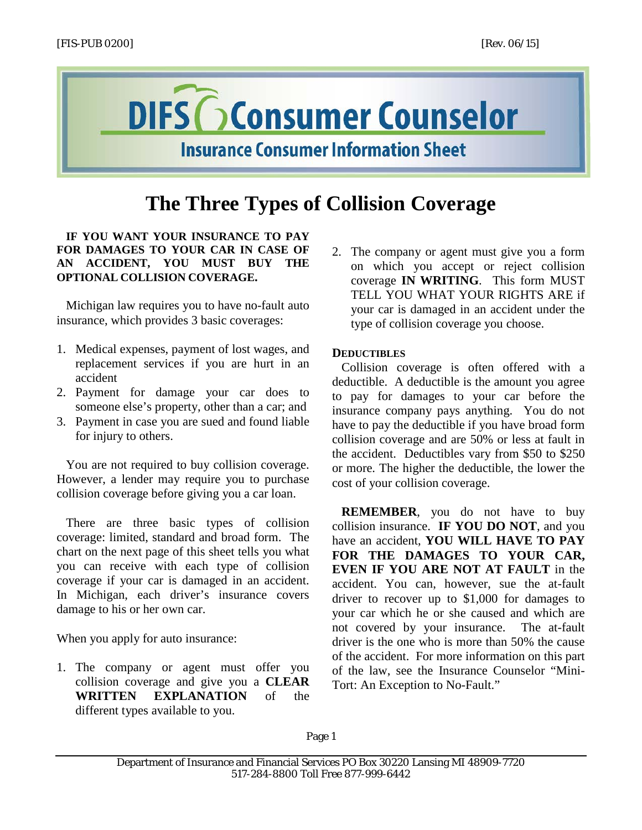

## **The Three Types of Collision Coverage**

## **IF YOU WANT YOUR INSURANCE TO PAY FOR DAMAGES TO YOUR CAR IN CASE OF AN ACCIDENT, YOU MUST BUY THE OPTIONAL COLLISION COVERAGE.**

Michigan law requires you to have no-fault auto insurance, which provides 3 basic coverages:

- 1. Medical expenses, payment of lost wages, and replacement services if you are hurt in an accident
- 2. Payment for damage your car does to someone else's property, other than a car; and
- 3. Payment in case you are sued and found liable for injury to others.

You are not required to buy collision coverage. However, a lender may require you to purchase collision coverage before giving you a car loan.

There are three basic types of collision coverage: limited, standard and broad form. The chart on the next page of this sheet tells you what you can receive with each type of collision coverage if your car is damaged in an accident. In Michigan, each driver's insurance covers damage to his or her own car.

When you apply for auto insurance:

1. The company or agent must offer you collision coverage and give you a **CLEAR WRITTEN EXPLANATION** of the different types available to you.

2. The company or agent must give you a form on which you accept or reject collision coverage **IN WRITING**. This form MUST TELL YOU WHAT YOUR RIGHTS ARE if your car is damaged in an accident under the type of collision coverage you choose.

## **DEDUCTIBLES**

Collision coverage is often offered with a deductible. A deductible is the amount you agree to pay for damages to your car before the insurance company pays anything. You do not have to pay the deductible if you have broad form collision coverage and are 50% or less at fault in the accident. Deductibles vary from \$50 to \$250 or more. The higher the deductible, the lower the cost of your collision coverage.

**REMEMBER**, you do not have to buy collision insurance. **IF YOU DO NOT**, and you have an accident, **YOU WILL HAVE TO PAY FOR THE DAMAGES TO YOUR CAR, EVEN IF YOU ARE NOT AT FAULT** in the accident. You can, however, sue the at-fault driver to recover up to \$1,000 for damages to your car which he or she caused and which are not covered by your insurance. The at-fault driver is the one who is more than 50% the cause of the accident. For more information on this part of the law, see the Insurance Counselor "Mini-Tort: An Exception to No-Fault."